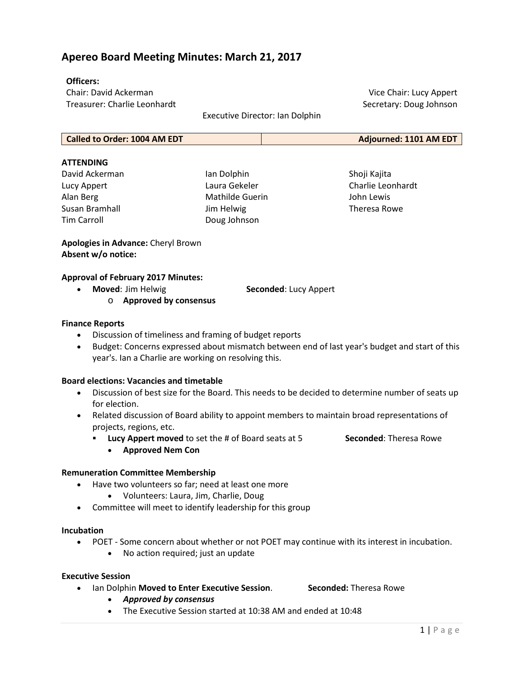# **Apereo Board Meeting Minutes: March 21, 2017**

# **Officers:**

Chair: David Ackerman Treasurer: Charlie Leonhardt

Executive Director: Ian Dolphin

**Called to Order: 1004 AM EDT Adjourned: 1101 AM EDT**

### **ATTENDING**

David Ackerman Lucy Appert Alan Berg Susan Bramhall Tim Carroll

Ian Dolphin Laura Gekeler Mathilde Guerin Jim Helwig Doug Johnson

Shoji Kajita Charlie Leonhardt John Lewis Theresa Rowe

Vice Chair: Lucy Appert Secretary: Doug Johnson

**Apologies in Advance:** Cheryl Brown **Absent w/o notice:**

# **Approval of February 2017 Minutes:**

• **Moved**: Jim Helwig **Seconded**: Lucy Appert

o **Approved by consensus**

### **Finance Reports**

- Discussion of timeliness and framing of budget reports
- Budget: Concerns expressed about mismatch between end of last year's budget and start of this year's. Ian a Charlie are working on resolving this.

### **Board elections: Vacancies and timetable**

- Discussion of best size for the Board. This needs to be decided to determine number of seats up for election.
- Related discussion of Board ability to appoint members to maintain broad representations of projects, regions, etc.
	- **Lucy Appert moved** to set the # of Board seats at 5 **Seconded**: Theresa Rowe
		- **Approved Nem Con**

# **Remuneration Committee Membership**

- Have two volunteers so far; need at least one more
	- Volunteers: Laura, Jim, Charlie, Doug
- Committee will meet to identify leadership for this group

#### **Incubation**

- POET Some concern about whether or not POET may continue with its interest in incubation.
	- No action required; just an update

#### **Executive Session**

• Ian Dolphin **Moved to Enter Executive Session**. **Seconded:** Theresa Rowe

- *Approved by consensus*
- The Executive Session started at 10:38 AM and ended at 10:48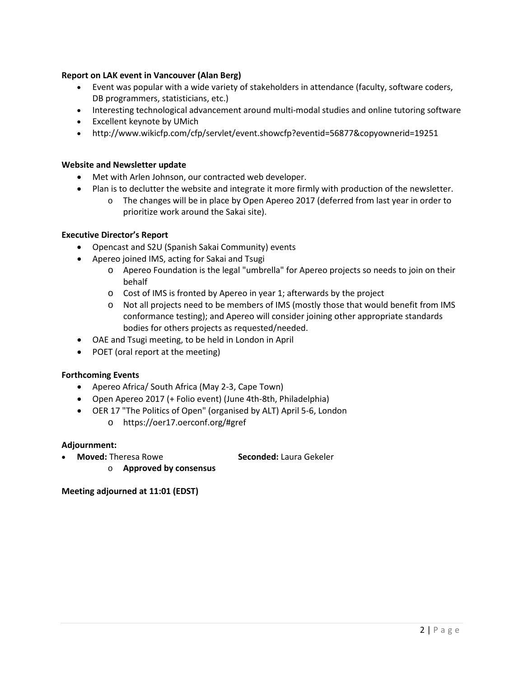# **Report on LAK event in Vancouver (Alan Berg)**

- Event was popular with a wide variety of stakeholders in attendance (faculty, software coders, DB programmers, statisticians, etc.)
- Interesting technological advancement around multi-modal studies and online tutoring software
- Excellent keynote by UMich
- [http://www.wikicfp.com/cfp/servlet/event.showcfp?eventid=56877&copyownerid=19251](http://www.wikicfp.com/cfp/servlet/event.showcfp?eventid=56877©ownerid=19251)

# **Website and Newsletter update**

- Met with Arlen Johnson, our contracted web developer.
- Plan is to declutter the website and integrate it more firmly with production of the newsletter.
	- o The changes will be in place by Open Apereo 2017 (deferred from last year in order to prioritize work around the Sakai site).

# **Executive Director's Report**

- Opencast and S2U (Spanish Sakai Community) events
- Apereo joined IMS, acting for Sakai and Tsugi
	- o Apereo Foundation is the legal "umbrella" for Apereo projects so needs to join on their behalf
	- o Cost of IMS is fronted by Apereo in year 1; afterwards by the project
	- o Not all projects need to be members of IMS (mostly those that would benefit from IMS conformance testing); and Apereo will consider joining other appropriate standards bodies for others projects as requested/needed.
- OAE and Tsugi meeting, to be held in London in April
- POET (oral report at the meeting)

# **Forthcoming Events**

- Apereo Africa/ South Africa (May 2-3, Cape Town)
- Open Apereo 2017 (+ Folio event) (June 4th-8th, Philadelphia)
- OER 17 "The Politics of Open" (organised by ALT) April 5-6, London
	- o <https://oer17.oerconf.org/#gref>

# **Adjournment:**

• **Moved:** Theresa Rowe **Seconded:** Laura Gekeler

o **Approved by consensus**

**Meeting adjourned at 11:01 (EDST)**